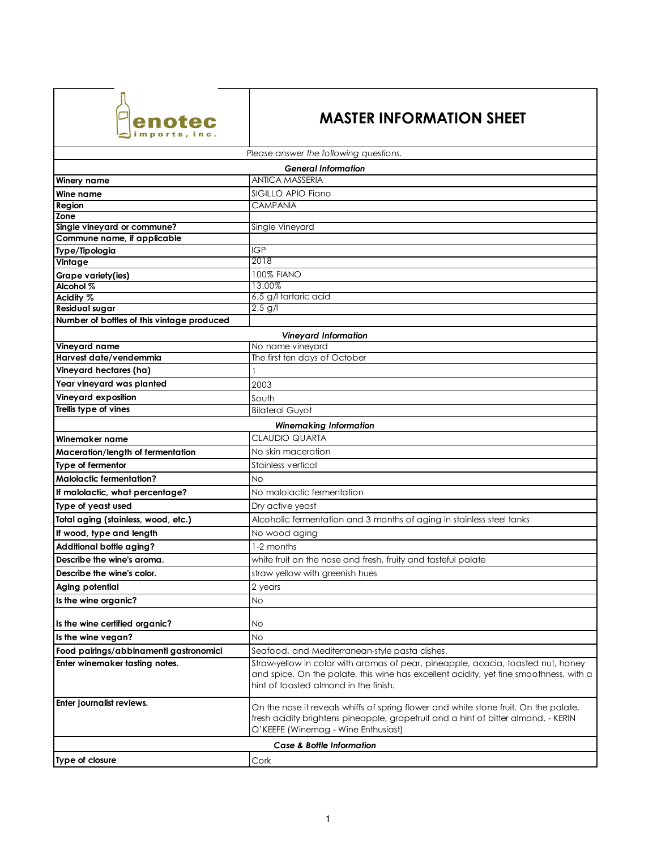

## **MASTER INFORMATION SHEET**

| Please answer the following questions.     |                                                                                                                                                                                                                     |
|--------------------------------------------|---------------------------------------------------------------------------------------------------------------------------------------------------------------------------------------------------------------------|
| <b>General Information</b>                 |                                                                                                                                                                                                                     |
| <b>Winery name</b>                         | <b>ANTICA MASSERIA</b>                                                                                                                                                                                              |
| Wine name                                  | SIGILLO APIO Fiano                                                                                                                                                                                                  |
| Region                                     | <b>CAMPANIA</b>                                                                                                                                                                                                     |
| Zone                                       |                                                                                                                                                                                                                     |
| Single vineyard or commune?                | Single Vineyard                                                                                                                                                                                                     |
| Commune name, if applicable                |                                                                                                                                                                                                                     |
| Type/Tipologia                             | <b>IGP</b>                                                                                                                                                                                                          |
| Vintage                                    | 2018                                                                                                                                                                                                                |
| Grape variety(ies)                         | <b>100% FIANO</b>                                                                                                                                                                                                   |
| Alcohol %                                  | 13.00%<br>6,5 g/l tartaric acid                                                                                                                                                                                     |
| Acidity %<br><b>Residual sugar</b>         | $2,5$ g/l                                                                                                                                                                                                           |
| Number of bottles of this vintage produced |                                                                                                                                                                                                                     |
|                                            |                                                                                                                                                                                                                     |
| Vineyard name                              | <b>Vineyard Information</b><br>No name vineyard                                                                                                                                                                     |
| Harvest date/vendemmia                     | The first ten days of October                                                                                                                                                                                       |
| Vineyard hectares (ha)                     |                                                                                                                                                                                                                     |
| Year vineyard was planted                  |                                                                                                                                                                                                                     |
|                                            | 2003                                                                                                                                                                                                                |
| Vineyard exposition                        | South                                                                                                                                                                                                               |
| Trellis type of vines                      | <b>Bilateral Guyot</b>                                                                                                                                                                                              |
| <b>Winemaking Information</b>              |                                                                                                                                                                                                                     |
| Winemaker name                             | <b>CLAUDIO QUARTA</b>                                                                                                                                                                                               |
| Maceration/length of fermentation          | No skin maceration                                                                                                                                                                                                  |
| Type of fermentor                          | Stainless vertical                                                                                                                                                                                                  |
| <b>Malolactic fermentation?</b>            | <b>No</b>                                                                                                                                                                                                           |
| If malolactic, what percentage?            | No malolactic fermentation                                                                                                                                                                                          |
| Type of yeast used                         | Dry active yeast                                                                                                                                                                                                    |
| Total aging (stainless, wood, etc.)        | Alcoholic fermentation and 3 months of aging in stainless steel tanks                                                                                                                                               |
| If wood, type and length                   | No wood aging                                                                                                                                                                                                       |
| Additional bottle aging?                   | 1-2 months                                                                                                                                                                                                          |
| Describe the wine's aroma.                 | white fruit on the nose and fresh, fruity and tasteful palate                                                                                                                                                       |
| Describe the wine's color.                 | straw yellow with greenish hues                                                                                                                                                                                     |
| Aging potential                            | 2 years                                                                                                                                                                                                             |
| Is the wine organic?                       | <b>No</b>                                                                                                                                                                                                           |
|                                            |                                                                                                                                                                                                                     |
| Is the wine certified organic?             | No                                                                                                                                                                                                                  |
| Is the wine vegan?                         | <b>No</b>                                                                                                                                                                                                           |
| Food pairings/abbinamenti gastronomici     | Seafood, and Mediterranean-style pasta dishes.                                                                                                                                                                      |
| Enter winemaker tasting notes.             | Straw-yellow in color with aromas of pear, pineapple, acacia, toasted nut, honey<br>and spice. On the palate, this wine has excellent acidity, yet fine smoothness, with a<br>hint of toasted almond in the finish. |
| Enter journalist reviews.                  | On the nose it reveals whiffs of spring flower and white stone fruit. On the palate,<br>fresh acidity brightens pineapple, grapefruit and a hint of bitter almond. - KERIN<br>O'KEEFE (Winemag - Wine Enthusiast)   |
| Case & Bottle Information                  |                                                                                                                                                                                                                     |
| Type of closure                            | Cork                                                                                                                                                                                                                |
|                                            |                                                                                                                                                                                                                     |